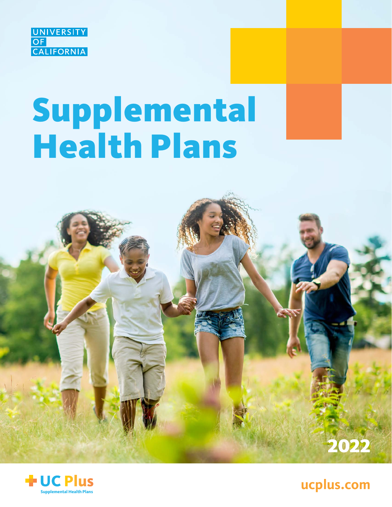

# Supplemental Health Plans



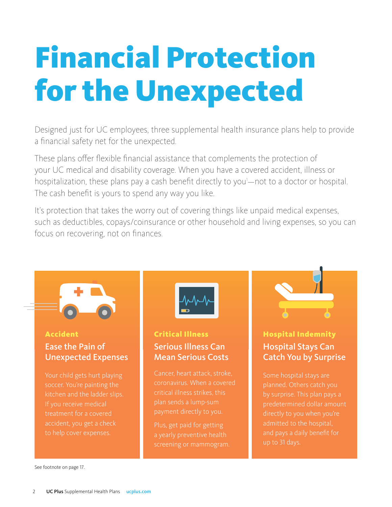# Financial Protection for the Unexpected

Designed just for UC employees, three supplemental health insurance plans help to provide a financial safety net for the unexpected.

These plans offer flexible financial assistance that complements the protection of your UC medical and disability coverage. When you have a covered accident, illness or hospitalization, these plans pay a cash benefit directly to you<sup>1</sup>—not to a doctor or hospital. The cash benefit is yours to spend any way you like.

It's protection that takes the worry out of covering things like unpaid medical expenses, such as deductibles, copays/coinsurance or other household and living expenses, so you can focus on recovering, not on finances.



## Accident Ease the Pain of Unexpected Expenses

Your child gets hurt playing soccer. You're painting the kitchen and the ladder slips. If you receive medical treatment for a covered accident, you get a check



## Critical Illness Serious Illness Can Mean Serious Costs

Cancer, heart attack, stroke, coronavirus. When a covered critical illness strikes, this plan sends a lump-sum

Plus, get paid for getting screening or mammogram.



## Hospital Indemnity Hospital Stays Can Catch You by Surprise

Some hospital stays are planned. Others catch you predetermined dollar amount directly to you when you're admitted to the hospital,

See footnote on page 17.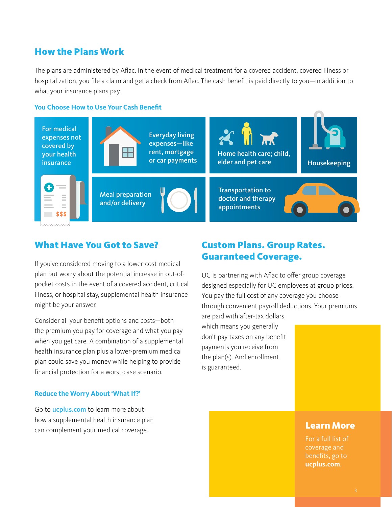## How the Plans Work

The plans are administered by Aflac. In the event of medical treatment for a covered accident, covered illness or hospitalization, you file a claim and get a check from Aflac. The cash benefit is paid directly to you—in addition to what your insurance plans pay.

### **You Choose How to Use Your Cash Benefit**



### What Have You Got to Save?

If you've considered moving to a lower-cost medical plan but worry about the potential increase in out-ofpocket costs in the event of a covered accident, critical illness, or hospital stay, supplemental health insurance might be your answer.

Consider all your benefit options and costs—both the premium you pay for coverage and what you pay when you get care. A combination of a supplemental health insurance plan plus a lower-premium medical plan could save you money while helping to provide financial protection for a worst-case scenario.

### **Reduce the Worry About 'What If?'**

Go to **[ucplus.com](http://ucplus.com)** to learn more about how a supplemental health insurance plan can complement your medical coverage.

## Custom Plans. Group Rates. Guaranteed Coverage.

UC is partnering with Aflac to offer group coverage designed especially for UC employees at group prices. You pay the full cost of any coverage you choose through convenient payroll deductions. Your premiums

are paid with after-tax dollars, which means you generally don't pay taxes on any benefit payments you receive from the plan(s). And enrollment is guaranteed.

### Learn More

For a full list of coverage and benefits, go to **ucplus.com**.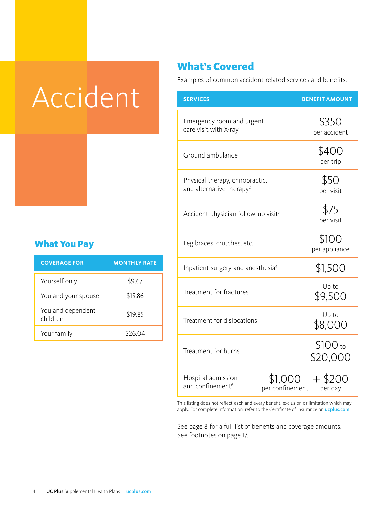# Accident

# What You Pay

| <b>COVERAGE FOR</b>           | <b>MONTHLY RATE</b> |
|-------------------------------|---------------------|
| Yourself only                 | \$9.67              |
| You and your spouse           | \$15.86             |
| You and dependent<br>children | \$19.85             |
| Your family                   | \$26.04             |

# What's Covered

Examples of common accident-related services and benefits:

| <b>SERVICES</b>                                                         | <b>BENEFIT AMOUNT</b>                         |
|-------------------------------------------------------------------------|-----------------------------------------------|
| Emergency room and urgent<br>care visit with X-ray                      | \$350<br>per accident                         |
| Ground ambulance                                                        | \$400<br>per trip                             |
| Physical therapy, chiropractic,<br>and alternative therapy <sup>2</sup> | \$50<br>per visit                             |
| Accident physician follow-up visit <sup>3</sup>                         | \$75<br>per visit                             |
| Leg braces, crutches, etc.                                              | \$100<br>per appliance                        |
| Inpatient surgery and anesthesia <sup>4</sup>                           | \$1,500                                       |
| Treatment for fractures                                                 | Up to<br>\$9,500                              |
| Treatment for dislocations                                              | Up to<br>\$8,000                              |
| Treatment for burns <sup>5</sup>                                        | \$100 to<br>\$20,000                          |
| Hospital admission<br>and confinement <sup>6</sup>                      | $$1,000 + $200$<br>per confinement<br>per day |

This listing does not reflect each and every benefit, exclusion or limitation which may apply. For complete information, refer to the Certificate of Insurance on [ucplus.com](http://ucplus.com).

See page 8 for a full list of benefits and coverage amounts. See footnotes on page 17.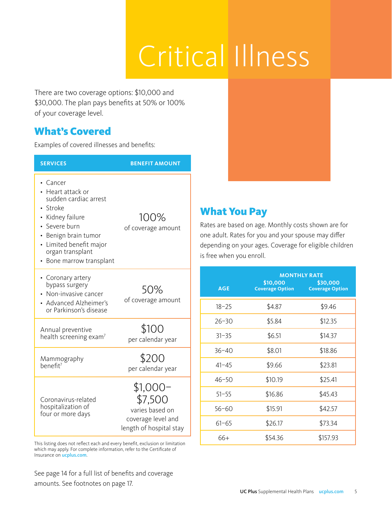# Critical Illness

There are two coverage options: \$10,000 and \$30,000. The plan pays benefits at 50% or 100% of your coverage level.

# What's Covered

Examples of covered illnesses and benefits:

| <b>SERVICES</b>                                                                                                                                                                                              | <b>BENEFIT AMOUNT</b>                                                                   |
|--------------------------------------------------------------------------------------------------------------------------------------------------------------------------------------------------------------|-----------------------------------------------------------------------------------------|
| $\cdot$ Cancer<br>Heart attack or<br>sudden cardiac arrest<br>• Stroke<br>• Kidney failure<br>· Severe burn<br>• Benign brain tumor<br>• Limited benefit major<br>organ transplant<br>Bone marrow transplant | 100%<br>of coverage amount                                                              |
| • Coronary artery<br>bypass surgery<br>• Non-invasive cancer<br>• Advanced Alzheimer's<br>or Parkinson's disease                                                                                             | 50%<br>of coverage amount                                                               |
| Annual preventive<br>health screening exam <sup>7</sup>                                                                                                                                                      | \$100<br>per calendar year                                                              |
| Mammography<br>benefit <sup>7</sup>                                                                                                                                                                          | \$200<br>per calendar year                                                              |
| Coronavirus-related<br>hospitalization of<br>four or more days                                                                                                                                               | \$1,000-<br>\$7,500<br>varies based on<br>coverage level and<br>length of hospital stay |

This listing does not reflect each and every benefit, exclusion or limitation which may apply. For complete information, refer to the Certificate of Insurance on [ucplus.com](http://ucplus.com).

See page 14 for a full list of benefits and coverage amounts. See footnotes on page 17.

# What You Pay

Rates are based on age. Monthly costs shown are for one adult. Rates for you and your spouse may differ depending on your ages. Coverage for eligible children is free when you enroll.

|            | <b>MONTHLY RATE</b>                |                                    |
|------------|------------------------------------|------------------------------------|
| <b>AGE</b> | \$10,000<br><b>Coverage Option</b> | \$30,000<br><b>Coverage Option</b> |
| $18 - 25$  | \$4.87                             | \$9.46                             |
| $26 - 30$  | \$5.84                             | \$12.35                            |
| $31 - 35$  | \$6.51                             | \$14.37                            |
| $36 - 40$  | \$8.01                             | \$18.86                            |
| $41 - 45$  | \$9.66                             | \$23.81                            |
| $46 - 50$  | \$10.19                            | \$25.41                            |
| $51 - 55$  | \$16.86                            | \$45.43                            |
| $56 - 60$  | \$15.91                            | \$42.57                            |
| $61 - 65$  | \$26.17                            | \$73.34                            |
| 66+        | \$54.36                            | \$157.93                           |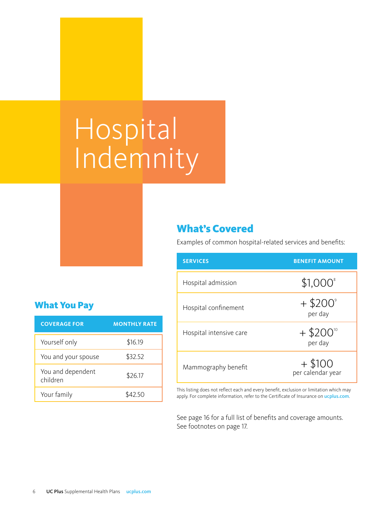# Hospital Indemnity

# What's Covered

Examples of common hospital-related services and benefits:

| <b>SERVICES</b>         | <b>BENEFIT AMOUNT</b>              |
|-------------------------|------------------------------------|
| Hospital admission      | $$1,000$ <sup>s</sup>              |
| Hospital confinement    | $+$ \$200 $^{\circ}$<br>per day    |
| Hospital intensive care | $+$ \$200 <sup>10</sup><br>per day |
| Mammography benefit     | $+$ \$100<br>per calendar year     |

This listing does not reflect each and every benefit, exclusion or limitation which may apply. For complete information, refer to the Certificate of Insurance on [ucplus.com](http://ucplus.com).

See page 16 for a full list of benefits and coverage amounts. See footnotes on page 17.

## What You Pay

| <b>COVERAGE FOR</b>           | <b>MONTHLY RATE</b> |
|-------------------------------|---------------------|
| Yourself only                 | \$16.19             |
| You and your spouse           | \$32.52             |
| You and dependent<br>children | \$26.17             |
| Your family                   | 2.50                |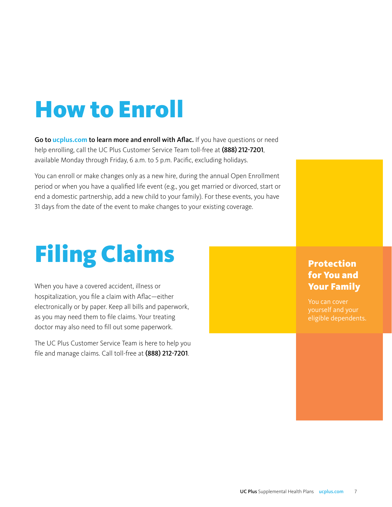# How to Enroll

Go to **[ucplus.com](http://ucplus.com)** to learn more and enroll with Aflac. If you have questions or need help enrolling, call the UC Plus Customer Service Team toll-free at (888) 212-7201, available Monday through Friday, 6 a.m. to 5 p.m. Pacific, excluding holidays.

You can enroll or make changes only as a new hire, during the annual Open Enrollment period or when you have a qualified life event (e.g., you get married or divorced, start or end a domestic partnership, add a new child to your family). For these events, you have 31 days from the date of the event to make changes to your existing coverage.

# Filing Claims

When you have a covered accident, illness or hospitalization, you file a claim with Aflac—either electronically or by paper. Keep all bills and paperwork, as you may need them to file claims. Your treating doctor may also need to fill out some paperwork.

The UC Plus Customer Service Team is here to help you file and manage claims. Call toll-free at (888) 212-7201.

# Protection for You and Your Family

You can cover yourself and your eligible dependents.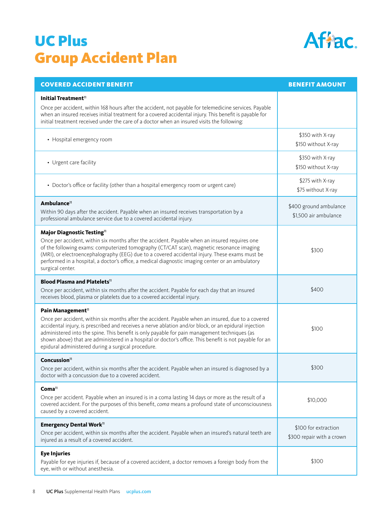# UC Plus Group Accident Plan



| <b>COVERED ACCIDENT BENEFIT</b>                                                                                                                                                                                                                                                                                                                                                                                                                                                                               | <b>BENEFIT AMOUNT</b>                             |
|---------------------------------------------------------------------------------------------------------------------------------------------------------------------------------------------------------------------------------------------------------------------------------------------------------------------------------------------------------------------------------------------------------------------------------------------------------------------------------------------------------------|---------------------------------------------------|
| Initial Treatment <sup>11</sup><br>Once per accident, within 168 hours after the accident, not payable for telemedicine services. Payable<br>when an insured receives initial treatment for a covered accidental injury. This benefit is payable for<br>initial treatment received under the care of a doctor when an insured visits the following:                                                                                                                                                           |                                                   |
| • Hospital emergency room                                                                                                                                                                                                                                                                                                                                                                                                                                                                                     | \$350 with X-ray<br>\$150 without X-ray           |
| • Urgent care facility                                                                                                                                                                                                                                                                                                                                                                                                                                                                                        | \$350 with X-ray<br>\$150 without X-ray           |
| • Doctor's office or facility (other than a hospital emergency room or urgent care)                                                                                                                                                                                                                                                                                                                                                                                                                           | \$275 with X-ray<br>\$75 without X-ray            |
| Ambulance <sup>11</sup><br>Within 90 days after the accident. Payable when an insured receives transportation by a<br>professional ambulance service due to a covered accidental injury.                                                                                                                                                                                                                                                                                                                      | \$400 ground ambulance<br>\$1,500 air ambulance   |
| Major Diagnostic Testing <sup>11</sup><br>Once per accident, within six months after the accident. Payable when an insured requires one<br>of the following exams: computerized tomography (CT/CAT scan), magnetic resonance imaging<br>(MRI), or electroencephalography (EEG) due to a covered accidental injury. These exams must be<br>performed in a hospital, a doctor's office, a medical diagnostic imaging center or an ambulatory<br>surgical center.                                                | \$300                                             |
| Blood Plasma and Platelets <sup>11</sup><br>Once per accident, within six months after the accident. Payable for each day that an insured<br>receives blood, plasma or platelets due to a covered accidental injury.                                                                                                                                                                                                                                                                                          | \$400                                             |
| Pain Management <sup>11</sup><br>Once per accident, within six months after the accident. Payable when an insured, due to a covered<br>accidental injury, is prescribed and receives a nerve ablation and/or block, or an epidural injection<br>administered into the spine. This benefit is only payable for pain management techniques (as<br>shown above) that are administered in a hospital or doctor's office. This benefit is not payable for an<br>epidural administered during a surgical procedure. | \$100                                             |
| Conclusion <sup>11</sup><br>Once per accident, within six months after the accident. Payable when an insured is diagnosed by a<br>doctor with a concussion due to a covered accident.                                                                                                                                                                                                                                                                                                                         | \$300                                             |
| Coma <sup>11</sup><br>Once per accident. Payable when an insured is in a coma lasting 14 days or more as the result of a<br>covered accident. For the purposes of this benefit, coma means a profound state of unconsciousness<br>caused by a covered accident.                                                                                                                                                                                                                                               | \$10,000                                          |
| Emergency Dental Work <sup>11</sup><br>Once per accident, within six months after the accident. Payable when an insured's natural teeth are<br>injured as a result of a covered accident.                                                                                                                                                                                                                                                                                                                     | \$100 for extraction<br>\$300 repair with a crown |
| <b>Eye Injuries</b><br>Payable for eye injuries if, because of a covered accident, a doctor removes a foreign body from the<br>eye, with or without anesthesia.                                                                                                                                                                                                                                                                                                                                               | \$300                                             |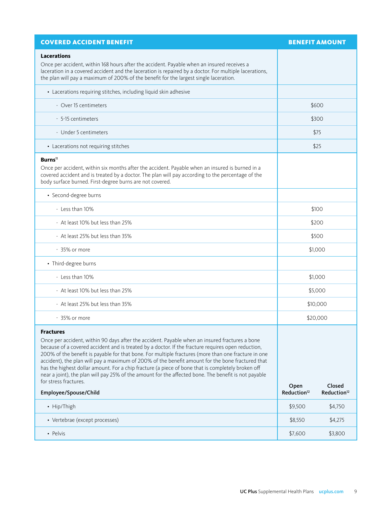| <b>COVERED ACCIDENT BENEFIT</b>                                                                                                                                                                                                                                                                                                                                                                                                                                                                                                                                                                                                                                           |                         | <b>BENEFIT AMOUNT</b>   |
|---------------------------------------------------------------------------------------------------------------------------------------------------------------------------------------------------------------------------------------------------------------------------------------------------------------------------------------------------------------------------------------------------------------------------------------------------------------------------------------------------------------------------------------------------------------------------------------------------------------------------------------------------------------------------|-------------------------|-------------------------|
| <b>Lacerations</b><br>Once per accident, within 168 hours after the accident. Payable when an insured receives a<br>laceration in a covered accident and the laceration is repaired by a doctor. For multiple lacerations,<br>the plan will pay a maximum of 200% of the benefit for the largest single laceration.                                                                                                                                                                                                                                                                                                                                                       |                         |                         |
| • Lacerations requiring stitches, including liquid skin adhesive                                                                                                                                                                                                                                                                                                                                                                                                                                                                                                                                                                                                          |                         |                         |
| - Over 15 centimeters                                                                                                                                                                                                                                                                                                                                                                                                                                                                                                                                                                                                                                                     |                         | \$600                   |
| - 5-15 centimeters                                                                                                                                                                                                                                                                                                                                                                                                                                                                                                                                                                                                                                                        |                         | \$300                   |
| - Under 5 centimeters                                                                                                                                                                                                                                                                                                                                                                                                                                                                                                                                                                                                                                                     |                         | \$75                    |
| • Lacerations not requiring stitches                                                                                                                                                                                                                                                                                                                                                                                                                                                                                                                                                                                                                                      |                         | \$25                    |
| Burns <sup>11</sup><br>Once per accident, within six months after the accident. Payable when an insured is burned in a<br>covered accident and is treated by a doctor. The plan will pay according to the percentage of the<br>body surface burned. First-degree burns are not covered.                                                                                                                                                                                                                                                                                                                                                                                   |                         |                         |
| • Second-degree burns                                                                                                                                                                                                                                                                                                                                                                                                                                                                                                                                                                                                                                                     |                         |                         |
| - Less than 10%                                                                                                                                                                                                                                                                                                                                                                                                                                                                                                                                                                                                                                                           |                         | \$100                   |
| - At least 10% but less than 25%                                                                                                                                                                                                                                                                                                                                                                                                                                                                                                                                                                                                                                          |                         | \$200                   |
| - At least 25% but less than 35%                                                                                                                                                                                                                                                                                                                                                                                                                                                                                                                                                                                                                                          |                         | \$500                   |
| - 35% or more                                                                                                                                                                                                                                                                                                                                                                                                                                                                                                                                                                                                                                                             |                         | \$1,000                 |
| • Third-degree burns                                                                                                                                                                                                                                                                                                                                                                                                                                                                                                                                                                                                                                                      |                         |                         |
| - Less than 10%                                                                                                                                                                                                                                                                                                                                                                                                                                                                                                                                                                                                                                                           |                         | \$1,000                 |
| - At least 10% but less than 25%                                                                                                                                                                                                                                                                                                                                                                                                                                                                                                                                                                                                                                          |                         | \$5,000                 |
| - At least 25% but less than 35%                                                                                                                                                                                                                                                                                                                                                                                                                                                                                                                                                                                                                                          |                         | \$10,000                |
| - 35% or more                                                                                                                                                                                                                                                                                                                                                                                                                                                                                                                                                                                                                                                             |                         | \$20,000                |
| <b>Fractures</b><br>Once per accident, within 90 days after the accident. Payable when an insured fractures a bone<br>because of a covered accident and is treated by a doctor. If the fracture requires open reduction,<br>200% of the benefit is payable for that bone. For multiple fractures (more than one fracture in one<br>accident), the plan will pay a maximum of 200% of the benefit amount for the bone fractured that<br>has the highest dollar amount. For a chip fracture (a piece of bone that is completely broken off<br>near a joint), the plan will pay 25% of the amount for the affected bone. The benefit is not payable<br>for stress fractures. | Open                    | Closed                  |
| Employee/Spouse/Child                                                                                                                                                                                                                                                                                                                                                                                                                                                                                                                                                                                                                                                     | Reduction <sup>12</sup> | Reduction <sup>12</sup> |
| • Hip/Thigh                                                                                                                                                                                                                                                                                                                                                                                                                                                                                                                                                                                                                                                               | \$9,500                 | \$4,750                 |
| • Vertebrae (except processes)                                                                                                                                                                                                                                                                                                                                                                                                                                                                                                                                                                                                                                            | \$8,550                 | \$4,275                 |
| • Pelvis                                                                                                                                                                                                                                                                                                                                                                                                                                                                                                                                                                                                                                                                  | \$7,600                 | \$3,800                 |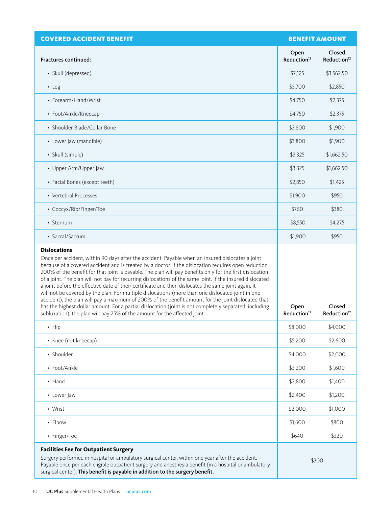| <b>COVERED ACCIDENT BENEFIT</b>                                                                                                                                                                                                                                                                                                                                                                                                                                                                                                                                                                                                                                                                                                                                                                                                                                                                                                                                    | <b>BENEFIT AMOUNT</b>           |                                   |
|--------------------------------------------------------------------------------------------------------------------------------------------------------------------------------------------------------------------------------------------------------------------------------------------------------------------------------------------------------------------------------------------------------------------------------------------------------------------------------------------------------------------------------------------------------------------------------------------------------------------------------------------------------------------------------------------------------------------------------------------------------------------------------------------------------------------------------------------------------------------------------------------------------------------------------------------------------------------|---------------------------------|-----------------------------------|
| Fractures continued:                                                                                                                                                                                                                                                                                                                                                                                                                                                                                                                                                                                                                                                                                                                                                                                                                                                                                                                                               | Open<br>Reduction <sup>12</sup> | Closed<br>Reduction <sup>12</sup> |
| • Skull (depressed)                                                                                                                                                                                                                                                                                                                                                                                                                                                                                                                                                                                                                                                                                                                                                                                                                                                                                                                                                | \$7,125                         | \$3,562.50                        |
| $\cdot$ Leg                                                                                                                                                                                                                                                                                                                                                                                                                                                                                                                                                                                                                                                                                                                                                                                                                                                                                                                                                        | \$5,700                         | \$2,850                           |
| • Forearm/Hand/Wrist                                                                                                                                                                                                                                                                                                                                                                                                                                                                                                                                                                                                                                                                                                                                                                                                                                                                                                                                               | \$4,750                         | \$2,375                           |
| • Foot/Ankle/Kneecap                                                                                                                                                                                                                                                                                                                                                                                                                                                                                                                                                                                                                                                                                                                                                                                                                                                                                                                                               | \$4,750                         | \$2,375                           |
| • Shoulder Blade/Collar Bone                                                                                                                                                                                                                                                                                                                                                                                                                                                                                                                                                                                                                                                                                                                                                                                                                                                                                                                                       | \$3,800                         | \$1,900                           |
| • Lower Jaw (mandible)                                                                                                                                                                                                                                                                                                                                                                                                                                                                                                                                                                                                                                                                                                                                                                                                                                                                                                                                             | \$3,800                         | \$1,900                           |
| • Skull (simple)                                                                                                                                                                                                                                                                                                                                                                                                                                                                                                                                                                                                                                                                                                                                                                                                                                                                                                                                                   | \$3,325                         | \$1,662.50                        |
| • Upper Arm/Upper Jaw                                                                                                                                                                                                                                                                                                                                                                                                                                                                                                                                                                                                                                                                                                                                                                                                                                                                                                                                              | \$3,325                         | \$1,662.50                        |
| • Facial Bones (except teeth)                                                                                                                                                                                                                                                                                                                                                                                                                                                                                                                                                                                                                                                                                                                                                                                                                                                                                                                                      | \$2,850                         | \$1,425                           |
| • Vertebral Processes                                                                                                                                                                                                                                                                                                                                                                                                                                                                                                                                                                                                                                                                                                                                                                                                                                                                                                                                              | \$1,900                         | \$950                             |
| • Coccyx/Rib/Finger/Toe                                                                                                                                                                                                                                                                                                                                                                                                                                                                                                                                                                                                                                                                                                                                                                                                                                                                                                                                            | \$760                           | \$380                             |
| • Sternum                                                                                                                                                                                                                                                                                                                                                                                                                                                                                                                                                                                                                                                                                                                                                                                                                                                                                                                                                          | \$8,550                         | \$4,275                           |
| • Sacral/Sacrum                                                                                                                                                                                                                                                                                                                                                                                                                                                                                                                                                                                                                                                                                                                                                                                                                                                                                                                                                    | \$1,900                         | \$950                             |
| <b>Dislocations</b><br>Once per accident, within 90 days after the accident. Payable when an insured dislocates a joint<br>because of a covered accident and is treated by a doctor. If the dislocation requires open reduction,<br>200% of the benefit for that joint is payable. The plan will pay benefits only for the first dislocation<br>of a joint. The plan will not pay for recurring dislocations of the same joint. If the insured dislocated<br>a joint before the effective date of their certificate and then dislocates the same joint again, it<br>will not be covered by the plan. For multiple dislocations (more than one dislocated joint in one<br>accident), the plan will pay a maximum of 200% of the benefit amount for the joint dislocated that<br>has the highest dollar amount. For a partial dislocation (joint is not completely separated, including<br>subluxation), the plan will pay 25% of the amount for the affected joint. | Open<br>Reduction <sup>12</sup> | Closed<br>Reduction <sup>12</sup> |
| $\cdot$ Hip                                                                                                                                                                                                                                                                                                                                                                                                                                                                                                                                                                                                                                                                                                                                                                                                                                                                                                                                                        | \$8,000                         | \$4,000                           |
| • Knee (not kneecap)                                                                                                                                                                                                                                                                                                                                                                                                                                                                                                                                                                                                                                                                                                                                                                                                                                                                                                                                               | \$5,200                         | \$2,600                           |
| • Shoulder                                                                                                                                                                                                                                                                                                                                                                                                                                                                                                                                                                                                                                                                                                                                                                                                                                                                                                                                                         | \$4,000                         | \$2,000                           |
| • Foot/Ankle                                                                                                                                                                                                                                                                                                                                                                                                                                                                                                                                                                                                                                                                                                                                                                                                                                                                                                                                                       | \$3,200                         | \$1,600                           |
| $\cdot$ Hand                                                                                                                                                                                                                                                                                                                                                                                                                                                                                                                                                                                                                                                                                                                                                                                                                                                                                                                                                       | \$2,800                         | \$1,400                           |
| • Lower Jaw                                                                                                                                                                                                                                                                                                                                                                                                                                                                                                                                                                                                                                                                                                                                                                                                                                                                                                                                                        | \$2,400                         | \$1,200                           |
| • Wrist                                                                                                                                                                                                                                                                                                                                                                                                                                                                                                                                                                                                                                                                                                                                                                                                                                                                                                                                                            | \$2,000                         | \$1,000                           |
| • Elbow                                                                                                                                                                                                                                                                                                                                                                                                                                                                                                                                                                                                                                                                                                                                                                                                                                                                                                                                                            | \$1,600                         | \$800                             |
| • Finger/Toe                                                                                                                                                                                                                                                                                                                                                                                                                                                                                                                                                                                                                                                                                                                                                                                                                                                                                                                                                       | \$640                           | \$320                             |
| <b>Facilities Fee for Outpatient Surgery</b><br>Surgery performed in hospital or ambulatory surgical center, within one year after the accident.<br>Payable once per each eligible outpatient surgery and anesthesia benefit (in a hospital or ambulatory<br>surgical center). This benefit is payable in addition to the surgery benefit.                                                                                                                                                                                                                                                                                                                                                                                                                                                                                                                                                                                                                         | \$300                           |                                   |

L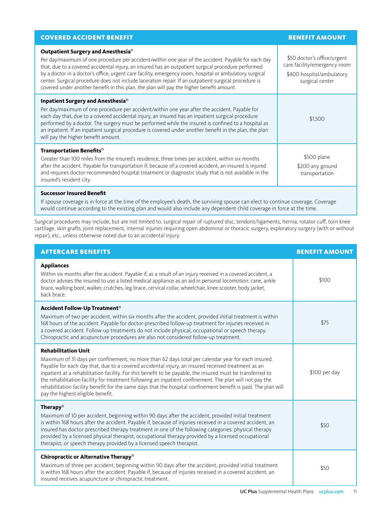| <b>COVERED ACCIDENT BENEFIT</b>                                                                                                                                                                                                                                                                                                                                                                                                                                                                                                                                               | <b>BENEFIT AMOUNT</b>                                                                                       |
|-------------------------------------------------------------------------------------------------------------------------------------------------------------------------------------------------------------------------------------------------------------------------------------------------------------------------------------------------------------------------------------------------------------------------------------------------------------------------------------------------------------------------------------------------------------------------------|-------------------------------------------------------------------------------------------------------------|
| Outpatient Surgery and Anesthesia <sup>11</sup><br>Per day/maximum of one procedure per accident/within one year of the accident. Payable for each day<br>that, due to a covered accidental injury, an insured has an outpatient surgical procedure performed<br>by a doctor in a doctor's office, urgent care facility, emergency room, hospital or ambulatory surgical<br>center. Surgical procedure does not include laceration repair. If an outpatient surgical procedure is<br>covered under another benefit in this plan, the plan will pay the higher benefit amount. | \$50 doctor's office/urgent<br>care facility/emergency room<br>\$400 hospital/ambulatory<br>surgical center |
| Inpatient Surgery and Anesthesia <sup>11</sup><br>Per day/maximum of one procedure per accident/within one year after the accident. Payable for<br>each day that, due to a covered accidental injury, an insured has an inpatient surgical procedure<br>performed by a doctor. The surgery must be performed while the insured is confined to a hospital as<br>an inpatient. If an inpatient surgical procedure is covered under another benefit in the plan, the plan<br>will pay the higher benefit amount.                                                                 | \$1,500                                                                                                     |
| Transportation Benefits <sup>11</sup><br>Greater than 100 miles from the insured's residence, three times per accident, within six months<br>after the accident. Payable for transportation if, because of a covered accident, an insured is injured<br>and requires doctor-recommended hospital treatment or diagnostic study that is not available in the<br>insured's resident city.                                                                                                                                                                                       | \$500 plane<br>\$200 any ground<br>transportation                                                           |
| <b>Successor Insured Benefit</b><br>If spouse coverage is in force at the time of the employee's death, the surviving spouse can elect to continue coverage. Coverage<br>would continue according to the existing plan and would also include any dependent child coverage in force at the time.                                                                                                                                                                                                                                                                              |                                                                                                             |

Surgical procedures may include, but are not limited to, surgical repair of ruptured disc, tendons/ligaments, hernia, rotator cuff, torn knee cartilage, skin grafts, joint replacement, internal injuries requiring open abdominal or thoracic surgery, exploratory surgery (with or without repair), etc., unless otherwise noted due to an accidental injury.

| <b>AFTERCARE BENEFITS</b>                                                                                                                                                                                                                                                                                                                                                                                                                                                                                                                                                                                              | <b>BENEFIT AMOUNT</b> |
|------------------------------------------------------------------------------------------------------------------------------------------------------------------------------------------------------------------------------------------------------------------------------------------------------------------------------------------------------------------------------------------------------------------------------------------------------------------------------------------------------------------------------------------------------------------------------------------------------------------------|-----------------------|
| <b>Appliances</b><br>Within six months after the accident. Payable if, as a result of an injury received in a covered accident, a<br>doctor advises the insured to use a listed medical appliance as an aid in personal locomotion: cane, ankle<br>brace, walking boot, walker, crutches, leg brace, cervical collar, wheelchair, knee scooter, body jacket,<br>back brace.                                                                                                                                                                                                                                            | \$100                 |
| Accident Follow-Up Treatment <sup>11</sup><br>Maximum of two per accident, within six months after the accident, provided initial treatment is within<br>168 hours of the accident. Payable for doctor-prescribed follow-up treatment for injuries received in<br>a covered accident. Follow-up treatments do not include physical, occupational or speech therapy.<br>Chiropractic and acupuncture procedures are also not considered follow-up treatment.                                                                                                                                                            | \$75                  |
| <b>Rehabilitation Unit</b><br>Maximum of 31 days per confinement, no more than 62 days total per calendar year for each insured.<br>Payable for each day that, due to a covered accidental injury, an insured received treatment as an<br>inpatient at a rehabilitation facility. For this benefit to be payable, the insured must be transferred to<br>the rehabilitation facility for treatment following an inpatient confinement. The plan will not pay the<br>rehabilitation facility benefit for the same days that the hospital confinement benefit is paid. The plan will<br>pay the highest eligible benefit. | \$100 per day         |
| Therapy $11$<br>Maximum of 10 per accident, beginning within 90 days after the accident, provided initial treatment<br>is within 168 hours after the accident. Payable if, because of injuries received in a covered accident, an<br>insured has doctor-prescribed therapy treatment in one of the following categories: physical therapy<br>provided by a licensed physical therapist, occupational therapy provided by a licensed occupational<br>therapist, or speech therapy provided by a licensed speech therapist.                                                                                              | \$50                  |
| Chiropractic or Alternative Therapy <sup>11</sup><br>Maximum of three per accident, beginning within 90 days after the accident, provided initial treatment<br>is within 168 hours after the accident. Payable if, because of injuries received in a covered accident, an<br>insured receives acupuncture or chiropractic treatment.                                                                                                                                                                                                                                                                                   | \$50                  |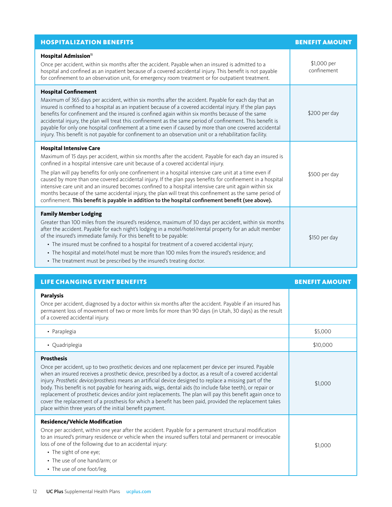| <b>HOSPITALIZATION BENEFITS</b>                                                                                                                                                                                                                                                                                                                                                                                                                                                                                                                                                                                                                                                                                                                                                       | <b>BENEFIT AMOUNT</b>      |
|---------------------------------------------------------------------------------------------------------------------------------------------------------------------------------------------------------------------------------------------------------------------------------------------------------------------------------------------------------------------------------------------------------------------------------------------------------------------------------------------------------------------------------------------------------------------------------------------------------------------------------------------------------------------------------------------------------------------------------------------------------------------------------------|----------------------------|
| Hospital Admission <sup>11</sup><br>Once per accident, within six months after the accident. Payable when an insured is admitted to a<br>hospital and confined as an inpatient because of a covered accidental injury. This benefit is not payable<br>for confinement to an observation unit, for emergency room treatment or for outpatient treatment.                                                                                                                                                                                                                                                                                                                                                                                                                               | \$1,000 per<br>confinement |
| <b>Hospital Confinement</b><br>Maximum of 365 days per accident, within six months after the accident. Payable for each day that an<br>insured is confined to a hospital as an inpatient because of a covered accidental injury. If the plan pays<br>benefits for confinement and the insured is confined again within six months because of the same<br>accidental injury, the plan will treat this confinement as the same period of confinement. This benefit is<br>payable for only one hospital confinement at a time even if caused by more than one covered accidental<br>injury. This benefit is not payable for confinement to an observation unit or a rehabilitation facility.                                                                                             | \$200 per day              |
| <b>Hospital Intensive Care</b><br>Maximum of 15 days per accident, within six months after the accident. Payable for each day an insured is<br>confined in a hospital intensive care unit because of a covered accidental injury.<br>The plan will pay benefits for only one confinement in a hospital intensive care unit at a time even if<br>caused by more than one covered accidental injury. If the plan pays benefits for confinement in a hospital<br>intensive care unit and an insured becomes confined to a hospital intensive care unit again within six<br>months because of the same accidental injury, the plan will treat this confinement as the same period of<br>confinement. This benefit is payable in addition to the hospital confinement benefit (see above). | \$500 per day              |
| <b>Family Member Lodging</b><br>Greater than 100 miles from the insured's residence, maximum of 30 days per accident, within six months<br>after the accident. Payable for each night's lodging in a motel/hotel/rental property for an adult member<br>of the insured's immediate family. For this benefit to be payable:<br>• The insured must be confined to a hospital for treatment of a covered accidental injury;<br>• The hospital and motel/hotel must be more than 100 miles from the insured's residence; and<br>• The treatment must be prescribed by the insured's treating doctor.                                                                                                                                                                                      | \$150 per day              |

| <b>LIFE CHANGING EVENT BENEFITS</b>                                                                                                                                                                                                                                                                                                                                                                                                                                                                                                                                                                                                                                                                                                                    | <b>BENEFIT AMOUNT</b> |
|--------------------------------------------------------------------------------------------------------------------------------------------------------------------------------------------------------------------------------------------------------------------------------------------------------------------------------------------------------------------------------------------------------------------------------------------------------------------------------------------------------------------------------------------------------------------------------------------------------------------------------------------------------------------------------------------------------------------------------------------------------|-----------------------|
| <b>Paralysis</b><br>Once per accident, diagnosed by a doctor within six months after the accident. Payable if an insured has<br>permanent loss of movement of two or more limbs for more than 90 days (in Utah, 30 days) as the result<br>of a covered accidental injury.                                                                                                                                                                                                                                                                                                                                                                                                                                                                              |                       |
| • Paraplegia                                                                                                                                                                                                                                                                                                                                                                                                                                                                                                                                                                                                                                                                                                                                           | \$5,000               |
| • Quadriplegia                                                                                                                                                                                                                                                                                                                                                                                                                                                                                                                                                                                                                                                                                                                                         | \$10,000              |
| <b>Prosthesis</b><br>Once per accident, up to two prosthetic devices and one replacement per device per insured. Payable<br>when an insured receives a prosthetic device, prescribed by a doctor, as a result of a covered accidental<br>injury. Prosthetic device/prosthesis means an artificial device designed to replace a missing part of the<br>body. This benefit is not payable for hearing aids, wigs, dental aids (to include false teeth), or repair or<br>replacement of prosthetic devices and/or joint replacements. The plan will pay this benefit again once to<br>cover the replacement of a prosthesis for which a benefit has been paid, provided the replacement takes<br>place within three years of the initial benefit payment. | \$1,000               |
| <b>Residence/Vehicle Modification</b><br>Once per accident, within one year after the accident. Payable for a permanent structural modification<br>to an insured's primary residence or vehicle when the insured suffers total and permanent or irrevocable<br>loss of one of the following due to an accidental injury:<br>• The sight of one eye;<br>• The use of one hand/arm: or<br>• The use of one foot/leg.                                                                                                                                                                                                                                                                                                                                     | \$1,000               |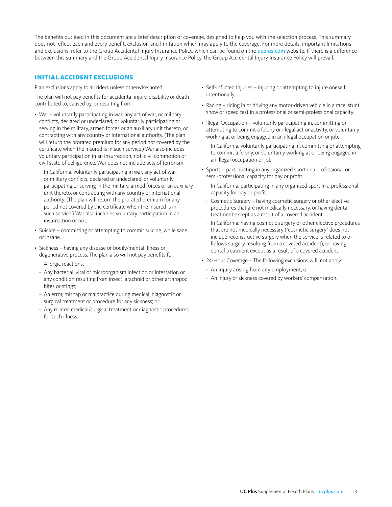The benefits outlined in this document are a brief description of coverage, designed to help you with the selection process. This summary does not reflect each and every benefit, exclusion and limitation which may apply to the coverage. For more details, important limitations and exclusions, refer to the Group Accidental Injury Insurance Policy, which can be found on the ucplus.com website. If there is a difference between this summary and the Group Accidental Injury Insurance Policy, the Group Accidental Injury Insurance Policy will prevail.

### INITIAL ACCIDENT EXCLUSIONS

Plan exclusions apply to all riders unless otherwise noted.

The plan will not pay benefits for accidental injury, disability or death contributed to, caused by, or resulting from:

- · War voluntarily participating in war, any act of war, or military conflicts, declared or undeclared, or voluntarily participating or serving in the military, armed forces or an auxiliary unit thereto, or contracting with any country or international authority. (The plan will return the prorated premium for any period not covered by the certificate when the insured is in such service.) War also includes voluntary participation in an insurrection, riot, civil commotion or civil state of belligerence. War does not include acts of terrorism.
	- In California: voluntarily participating in war, any act of war, or military conflicts, declared or undeclared, or voluntarily participating or serving in the military, armed forces or an auxiliary unit thereto, or contracting with any country or international authority. (The plan will return the prorated premium for any period not covered by the certificate when the insured is in such service.) War also includes voluntary participation in an insurrection or riot.
- · Suicide committing or attempting to commit suicide, while sane or insane.
- · Sickness having any disease or bodily/mental illness or degenerative process. The plan also will not pay benefits for:
	- Allergic reactions;
	- Any bacterial, viral or microorganism infection or infestation or any condition resulting from insect, arachnid or other arthropod bites or stings;
	- An error, mishap or malpractice during medical, diagnostic or surgical treatment or procedure for any sickness; or
	- Any related medical/surgical treatment or diagnostic procedures for such illness.
- · Self-Inflicted Injuries injuring or attempting to injure oneself intentionally.
- · Racing riding in or driving any motor-driven vehicle in a race, stunt show or speed test in a professional or semi-professional capacity.
- · Illegal Occupation voluntarily participating in, committing or attempting to commit a felony or illegal act or activity, or voluntarily working at or being engaged in an illegal occupation or job.
	- In California: voluntarily participating in, committing or attempting to commit a felony, or voluntarily working at or being engaged in an illegal occupation or job.
- · Sports participating in any organized sport in a professional or semi-professional capacity for pay or profit.
	- In California: participating in any organized sport in a professional capacity for pay or profit.
	- Cosmetic Surgery having cosmetic surgery or other elective procedures that are not medically necessary, or having dental treatment except as a result of a covered accident.
	- In California: having cosmetic surgery or other elective procedures that are not medically necessary ("cosmetic surgery" does not include reconstructive surgery when the service is related to or follows surgery resulting from a covered accident), or having dental treatment except as a result of a covered accident.
- · 24-Hour Coverage The following exclusions will not apply:
	- An injury arising from any employment; or
	- An injury or sickness covered by workers' compensation.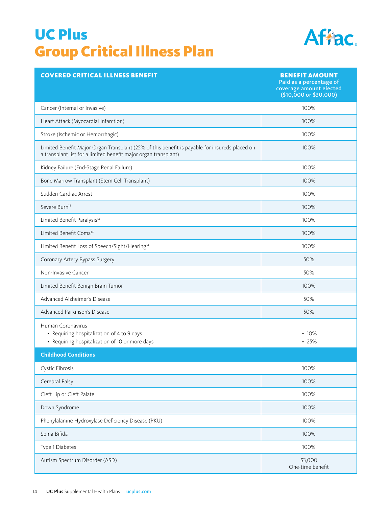# UC Plus Group Critical Illness Plan



| <b>COVERED CRITICAL ILLNESS BENEFIT</b>                                                                                                                          | <b>BENEFIT AMOUNT</b><br>Paid as a percentage of<br>coverage amount elected<br>(\$10,000 or \$30,000) |
|------------------------------------------------------------------------------------------------------------------------------------------------------------------|-------------------------------------------------------------------------------------------------------|
| Cancer (Internal or Invasive)                                                                                                                                    | 100%                                                                                                  |
| Heart Attack (Myocardial Infarction)                                                                                                                             | 100%                                                                                                  |
| Stroke (Ischemic or Hemorrhagic)                                                                                                                                 | 100%                                                                                                  |
| Limited Benefit Major Organ Transplant (25% of this benefit is payable for insureds placed on<br>a transplant list for a limited benefit major organ transplant) | 100%                                                                                                  |
| Kidney Failure (End-Stage Renal Failure)                                                                                                                         | 100%                                                                                                  |
| Bone Marrow Transplant (Stem Cell Transplant)                                                                                                                    | 100%                                                                                                  |
| Sudden Cardiac Arrest                                                                                                                                            | 100%                                                                                                  |
| Severe Burn <sup>13</sup>                                                                                                                                        | 100%                                                                                                  |
| Limited Benefit Paralysis <sup>14</sup>                                                                                                                          | 100%                                                                                                  |
| Limited Benefit Coma <sup>14</sup>                                                                                                                               | 100%                                                                                                  |
| Limited Benefit Loss of Speech/Sight/Hearing <sup>14</sup>                                                                                                       | 100%                                                                                                  |
| Coronary Artery Bypass Surgery                                                                                                                                   | 50%                                                                                                   |
| Non-Invasive Cancer                                                                                                                                              | 50%                                                                                                   |
| Limited Benefit Benign Brain Tumor                                                                                                                               | 100%                                                                                                  |
| Advanced Alzheimer's Disease                                                                                                                                     | 50%                                                                                                   |
| Advanced Parkinson's Disease                                                                                                                                     | 50%                                                                                                   |
| Human Coronavirus<br>• Requiring hospitalization of 4 to 9 days<br>• Requiring hospitalization of 10 or more days                                                | • 10%<br>• 25%                                                                                        |
| <b>Childhood Conditions</b>                                                                                                                                      |                                                                                                       |
| Cystic Fibrosis                                                                                                                                                  | 100%                                                                                                  |
| Cerebral Palsy                                                                                                                                                   | 100%                                                                                                  |
| Cleft Lip or Cleft Palate                                                                                                                                        | 100%                                                                                                  |
| Down Syndrome                                                                                                                                                    | 100%                                                                                                  |
| Phenylalanine Hydroxylase Deficiency Disease (PKU)                                                                                                               | 100%                                                                                                  |
| Spina Bifida                                                                                                                                                     | 100%                                                                                                  |
| Type 1 Diabetes                                                                                                                                                  | 100%                                                                                                  |
| Autism Spectrum Disorder (ASD)                                                                                                                                   | \$3,000<br>One-time benefit                                                                           |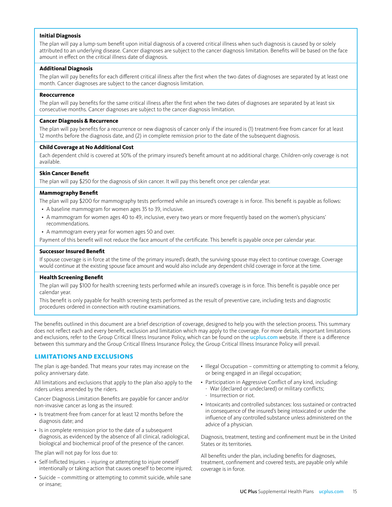### **Initial Diagnosis**

The plan will pay a lump-sum benefit upon initial diagnosis of a covered critical illness when such diagnosis is caused by or solely attributed to an underlying disease. Cancer diagnoses are subject to the cancer diagnosis limitation. Benefits will be based on the face amount in effect on the critical illness date of diagnosis.

### **Additional Diagnosis**

The plan will pay benefits for each different critical illness after the first when the two dates of diagnoses are separated by at least one month. Cancer diagnoses are subject to the cancer diagnosis limitation.

### **Reoccurrence**

The plan will pay benefits for the same critical illness after the first when the two dates of diagnoses are separated by at least six consecutive months. Cancer diagnoses are subject to the cancer diagnosis limitation.

#### **Cancer Diagnosis & Recurrence**

The plan will pay benefits for a recurrence or new diagnosis of cancer only if the insured is (1) treatment-free from cancer for at least 12 months before the diagnosis date, and (2) in complete remission prior to the date of the subsequent diagnosis.

### **Child Coverage at No Additional Cost**

Each dependent child is covered at 50% of the primary insured's benefit amount at no additional charge. Children-only coverage is not available.

### **Skin Cancer Benefit**

The plan will pay \$250 for the diagnosis of skin cancer. It will pay this benefit once per calendar year.

### **Mammography Benefit**

The plan will pay \$200 for mammography tests performed while an insured's coverage is in force. This benefit is payable as follows:

- · A baseline mammogram for women ages 35 to 39, inclusive.
- · A mammogram for women ages 40 to 49, inclusive, every two years or more frequently based on the women's physicians' recommendations.
- · A mammogram every year for women ages 50 and over.

Payment of this benefit will not reduce the face amount of the certificate. This benefit is payable once per calendar year.

#### **Successor Insured Benefit**

If spouse coverage is in force at the time of the primary insured's death, the surviving spouse may elect to continue coverage. Coverage would continue at the existing spouse face amount and would also include any dependent child coverage in force at the time.

### **Health Screening Benefit**

The plan will pay \$100 for health screening tests performed while an insured's coverage is in force. This benefit is payable once per calendar year.

This benefit is only payable for health screening tests performed as the result of preventive care, including tests and diagnostic procedures ordered in connection with routine examinations.

The benefits outlined in this document are a brief description of coverage, designed to help you with the selection process. This summary does not reflect each and every benefit, exclusion and limitation which may apply to the coverage. For more details, important limitations and exclusions, refer to the Group Critical Illness Insurance Policy, which can be found on the ucplus.com website. If there is a difference between this summary and the Group Critical Illness Insurance Policy, the Group Critical Illness Insurance Policy will prevail.

### LIMITATIONS AND EXCLUSIONS

The plan is age-banded. That means your rates may increase on the policy anniversary date.

All limitations and exclusions that apply to the plan also apply to the riders unless amended by the riders.

Cancer Diagnosis Limitation Benefits are payable for cancer and/or non-invasive cancer as long as the insured:

- · Is treatment-free from cancer for at least 12 months before the diagnosis date; and
- · Is in complete remission prior to the date of a subsequent diagnosis, as evidenced by the absence of all clinical, radiological, biological and biochemical proof of the presence of the cancer.

The plan will not pay for loss due to:

- · Self-Inflicted Injuries injuring or attempting to injure oneself intentionally or taking action that causes oneself to become injured;
- · Suicide committing or attempting to commit suicide, while sane or insane;
- · Illegal Occupation committing or attempting to commit a felony, or being engaged in an illegal occupation;
- · Participation in Aggressive Conflict of any kind, including:
	- War (declared or undeclared) or military conflicts;
	- Insurrection or riot.
- · Intoxicants and controlled substances: loss sustained or contracted in consequence of the insured's being intoxicated or under the influence of any controlled substance unless administered on the advice of a physician.

Diagnosis, treatment, testing and confinement must be in the United States or its territories.

All benefits under the plan, including benefits for diagnoses, treatment, confinement and covered tests, are payable only while coverage is in force.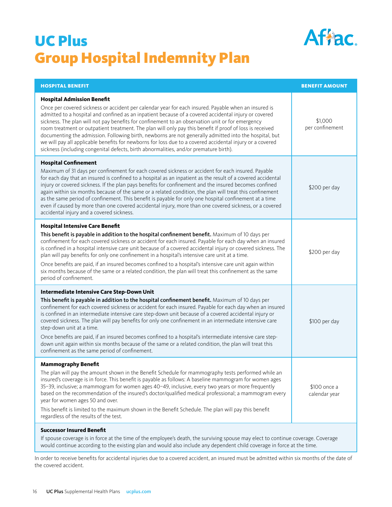# UC Plus Group Hospital Indemnity Plan



| <b>HOSPITAL BENEFIT</b>                                                                                                                                                                                                                                                                                                                                                                                                                                                                                                                                                                                                                                                                                                                                                             | <b>BENEFIT AMOUNT</b>         |
|-------------------------------------------------------------------------------------------------------------------------------------------------------------------------------------------------------------------------------------------------------------------------------------------------------------------------------------------------------------------------------------------------------------------------------------------------------------------------------------------------------------------------------------------------------------------------------------------------------------------------------------------------------------------------------------------------------------------------------------------------------------------------------------|-------------------------------|
| <b>Hospital Admission Benefit</b><br>Once per covered sickness or accident per calendar year for each insured. Payable when an insured is<br>admitted to a hospital and confined as an inpatient because of a covered accidental injury or covered<br>sickness. The plan will not pay benefits for confinement to an observation unit or for emergency<br>room treatment or outpatient treatment. The plan will only pay this benefit if proof of loss is received<br>documenting the admission. Following birth, newborns are not generally admitted into the hospital, but<br>we will pay all applicable benefits for newborns for loss due to a covered accidental injury or a covered<br>sickness (including congenital defects, birth abnormalities, and/or premature birth).  | \$1,000<br>per confinement    |
| <b>Hospital Confinement</b><br>Maximum of 31 days per confinement for each covered sickness or accident for each insured. Payable<br>for each day that an insured is confined to a hospital as an inpatient as the result of a covered accidental<br>injury or covered sickness. If the plan pays benefits for confinement and the insured becomes confined<br>again within six months because of the same or a related condition, the plan will treat this confinement<br>as the same period of confinement. This benefit is payable for only one hospital confinement at a time<br>even if caused by more than one covered accidental injury, more than one covered sickness, or a covered<br>accidental injury and a covered sickness.                                           | \$200 per day                 |
| <b>Hospital Intensive Care Benefit</b><br>This benefit is payable in addition to the hospital confinement benefit. Maximum of 10 days per<br>confinement for each covered sickness or accident for each insured. Payable for each day when an insured<br>is confined in a hospital intensive care unit because of a covered accidental injury or covered sickness. The<br>plan will pay benefits for only one confinement in a hospital's intensive care unit at a time.<br>Once benefits are paid, if an insured becomes confined to a hospital's intensive care unit again within<br>six months because of the same or a related condition, the plan will treat this confinement as the same<br>period of confinement.                                                            | \$200 per day                 |
| Intermediate Intensive Care Step-Down Unit<br>This benefit is payable in addition to the hospital confinement benefit. Maximum of 10 days per<br>confinement for each covered sickness or accident for each insured. Payable for each day when an insured<br>is confined in an intermediate intensive care step-down unit because of a covered accidental injury or<br>covered sickness. The plan will pay benefits for only one confinement in an intermediate intensive care<br>step-down unit at a time.<br>Once benefits are paid, if an insured becomes confined to a hospital's intermediate intensive care step-<br>down unit again within six months because of the same or a related condition, the plan will treat this<br>confinement as the same period of confinement. | \$100 per day                 |
| <b>Mammography Benefit</b><br>The plan will pay the amount shown in the Benefit Schedule for mammography tests performed while an<br>insured's coverage is in force. This benefit is payable as follows: A baseline mammogram for women ages<br>35-39, inclusive; a mammogram for women ages 40-49, inclusive, every two years or more frequently<br>based on the recommendation of the insured's doctor/qualified medical professional; a mammogram every<br>year for women ages 50 and over.<br>This benefit is limited to the maximum shown in the Benefit Schedule. The plan will pay this benefit<br>regardless of the results of the test.                                                                                                                                    | \$100 once a<br>calendar year |
| <b>Successor Insured Benefit</b>                                                                                                                                                                                                                                                                                                                                                                                                                                                                                                                                                                                                                                                                                                                                                    |                               |

If spouse coverage is in force at the time of the employee's death, the surviving spouse may elect to continue coverage. Coverage would continue according to the existing plan and would also include any dependent child coverage in force at the time.

In order to receive benefits for accidental injuries due to a covered accident, an insured must be admitted within six months of the date of the covered accident.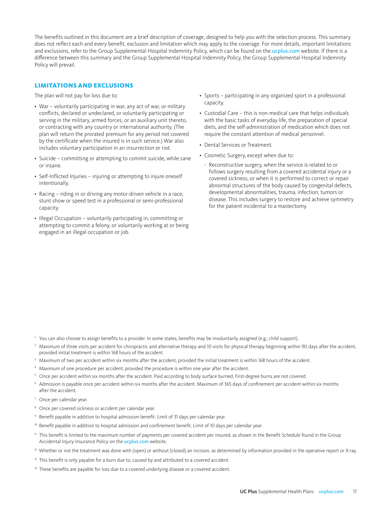The benefits outlined in this document are a brief description of coverage, designed to help you with the selection process. This summary does not reflect each and every benefit, exclusion and limitation which may apply to the coverage. For more details, important limitations and exclusions, refer to the Group Supplemental Hospital Indemnity Policy, which can be found on the ucplus.com website. If there is a difference between this summary and the Group Supplemental Hospital Indemnity Policy, the Group Supplemental Hospital Indemnity Policy will prevail.

### LIMITATIONS AND EXCLUSIONS

The plan will not pay for loss due to:

- · War voluntarily participating in war, any act of war, or military conflicts, declared or undeclared, or voluntarily participating or serving in the military, armed forces, or an auxiliary unit thereto, or contracting with any country or international authority. (The plan will return the prorated premium for any period not covered by the certificate when the insured is in such service.) War also includes voluntary participation in an insurrection or riot.
- · Suicide committing or attempting to commit suicide, while sane or insane.
- · Self-Inflicted Injuries injuring or attempting to injure oneself intentionally.
- · Racing riding in or driving any motor-driven vehicle in a race, stunt show or speed test in a professional or semi-professional capacity.
- · Illegal Occupation voluntarily participating in, committing or attempting to commit a felony, or voluntarily working at or being engaged in an illegal occupation or job.
- · Sports participating in any organized sport in a professional capacity.
- · Custodial Care this is non-medical care that helps individuals with the basic tasks of everyday life, the preparation of special diets, and the self-administration of medication which does not require the constant attention of medical personnel.
- · Dental Services or Treatment.
- · Cosmetic Surgery, except when due to:
	- Reconstructive surgery, when the service is related to or follows surgery resulting from a covered accidental injury or a covered sickness, or when it is performed to correct or repair abnormal structures of the body caused by congenital defects, developmental abnormalities, trauma, infection, tumors or disease. This includes surgery to restore and achieve symmetry for the patient incidental to a mastectomy.

- <sup>1</sup> You can also choose to assign benefits to a provider. In some states, benefits may be involuntarily assigned (e.g., child support).
- $<sup>2</sup>$  Maximum of three visits per accident for chiropractic and alternative therapy and 10 visits for physical therapy beginning within 90 days after the accident,</sup> provided initial treatment is within 168 hours of the accident.
- <sup>3</sup> Maximum of two per accident within six months after the accident, provided the initial treatment is within 168 hours of the accident.
- <sup>4</sup> Maximum of one procedure per accident, provided the procedure is within one year after the accident.
- <sup>5</sup> Once per accident within six months after the accident. Paid according to body surface burned. First-degree burns are not covered.
- <sup>6</sup> Admission is payable once per accident within six months after the accident. Maximum of 365 days of confinement per accident within six months after the accident.
- <sup>7</sup> Once per calendar year.
- <sup>8</sup> Once per covered sickness or accident per calendar year.
- <sup>9</sup> Benefit payable in addition to hospital admission benefit. Limit of 31 days per calendar year.
- <sup>10</sup> Benefit payable in addition to hospital admission and confinement benefit. Limit of 10 days per calendar year.
- <sup>11</sup> This benefit is limited to the maximum number of payments per covered accident per insured, as shown in the Benefit Schedule found in the Group Accidental Injury Insurance Policy on the [ucplus.com](http://ucplus.com) website.
- <sup>12</sup> Whether or not the treatment was done with (open) or without (closed) an incision, as determined by information provided in the operative report or X-ray.
- <sup>13</sup> This benefit is only payable for a burn due to, caused by and attributed to a covered accident.
- <sup>14</sup> These benefits are payable for loss due to a covered underlying disease or a covered accident.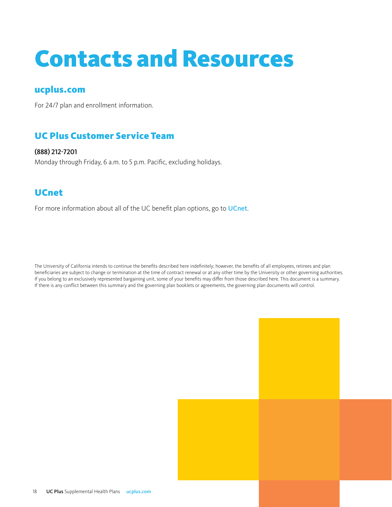# Contacts and Resources

### ucplus.com

For 24/7 plan and enrollment information.

## UC Plus Customer Service Team

### (888) 212-7201

Monday through Friday, 6 a.m. to 5 p.m. Pacific, excluding holidays.

## UCnet

For more information about all of the UC benefit plan options, go to [UCnet](https://ucnet.universityofcalifornia.edu/compensation-and-benefits/health-plans/supplemental-health-plans/index.html).

The University of California intends to continue the benefits described here indefinitely; however, the benefits of all employees, retirees and plan beneficiaries are subject to change or termination at the time of contract renewal or at any other time by the University or other governing authorities. If you belong to an exclusively represented bargaining unit, some of your benefits may differ from those described here. This document is a summary. If there is any conflict between this summary and the governing plan booklets or agreements, the governing plan documents will control.

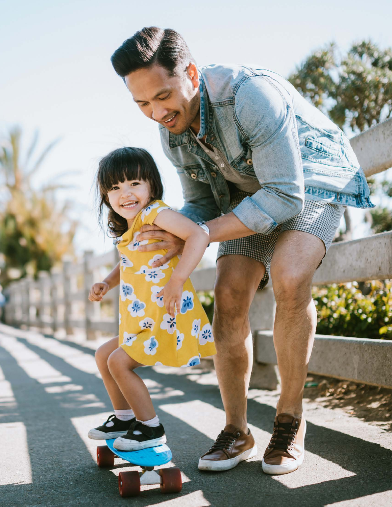